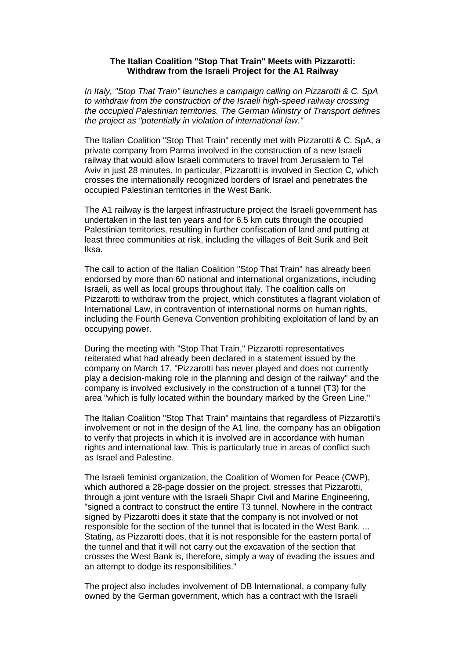## **The Italian Coalition "Stop That Train" Meets with Pizzarotti: Withdraw from the Israeli Project for the A1 Railway**

*In Italy, "Stop That Train" launches a campaign calling on Pizzarotti & C. SpA to withdraw from the construction of the Israeli high-speed railway crossing the occupied Palestinian territories. The German Ministry of Transport defines the project as "potentially in violation of international law."*

The Italian Coalition "Stop That Train" recently met with Pizzarotti & C. SpA, a private company from Parma involved in the construction of a new Israeli railway that would allow Israeli commuters to travel from Jerusalem to Tel Aviv in just 28 minutes. In particular, Pizzarotti is involved in Section C, which crosses the internationally recognized borders of Israel and penetrates the occupied Palestinian territories in the West Bank.

The A1 railway is the largest infrastructure project the Israeli government has undertaken in the last ten years and for 6.5 km cuts through the occupied Palestinian territories, resulting in further confiscation of land and putting at least three communities at risk, including the villages of Beit Surik and Beit Iksa.

The call to action of the Italian Coalition "Stop That Train" has already been endorsed by more than 60 national and international organizations, including Israeli, as well as local groups throughout Italy. The coalition calls on Pizzarotti to withdraw from the project, which constitutes a flagrant violation of International Law, in contravention of international norms on human rights, including the Fourth Geneva Convention prohibiting exploitation of land by an occupying power.

During the meeting with "Stop That Train," Pizzarotti representatives reiterated what had already been declared in a statement issued by the company on March 17. "Pizzarotti has never played and does not currently play a decision-making role in the planning and design of the railway" and the company is involved exclusively in the construction of a tunnel (T3) for the area "which is fully located within the boundary marked by the Green Line."

The Italian Coalition "Stop That Train" maintains that regardless of Pizzarotti's involvement or not in the design of the A1 line, the company has an obligation to verify that projects in which it is involved are in accordance with human rights and international law. This is particularly true in areas of conflict such as Israel and Palestine.

The Israeli feminist organization, the Coalition of Women for Peace (CWP), which authored a 28-page dossier on the project, stresses that Pizzarotti, through a joint venture with the Israeli Shapir Civil and Marine Engineering, "signed a contract to construct the entire T3 tunnel. Nowhere in the contract signed by Pizzarotti does it state that the company is not involved or not responsible for the section of the tunnel that is located in the West Bank. ... Stating, as Pizzarotti does, that it is not responsible for the eastern portal of the tunnel and that it will not carry out the excavation of the section that crosses the West Bank is, therefore, simply a way of evading the issues and an attempt to dodge its responsibilities."

The project also includes involvement of DB International, a company fully owned by the German government, which has a contract with the Israeli